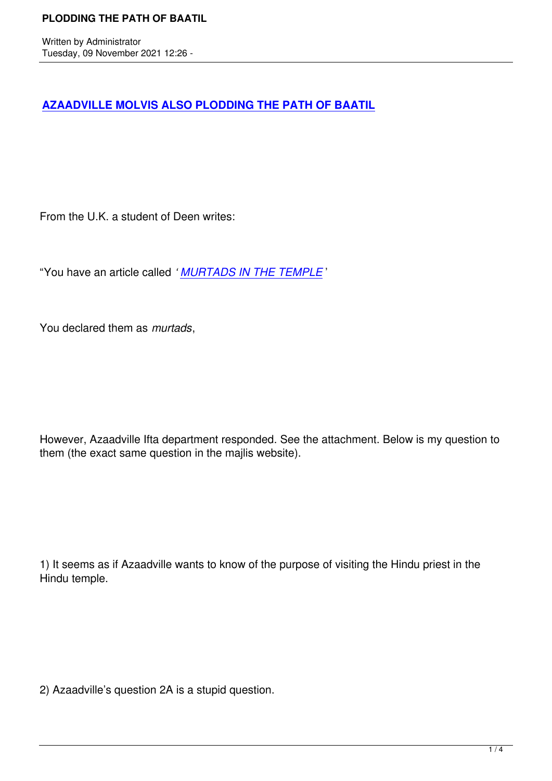## **AZAADVILLE MOLVIS ALSO PLODDING THE PATH OF BAATIL**

From the U.K. a student of Deen writes:

"You have an article called *' MURTADS IN THE TEMPLE* '

You declared them as *murt[ads](https://themajlis.co.za/books/MURTADS%20IN%20THE%20TEMPLE%2009102021.pdf)*,

However, Azaadville Ifta department responded. See the attachment. Below is my question to them (the exact same question in the majlis website).

1) It seems as if Azaadville wants to know of the purpose of visiting the Hindu priest in the Hindu temple.

2) Azaadville's question 2A is a stupid question.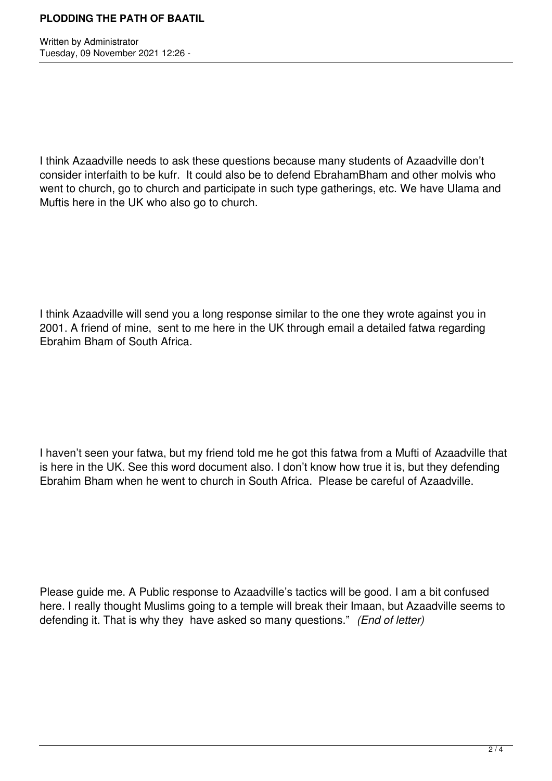## **PLODDING THE PATH OF BAATIL**

Written by Administrator Tuesday, 09 November 2021 12:26 -

I think Azaadville needs to ask these questions because many students of Azaadville don't consider interfaith to be kufr. It could also be to defend EbrahamBham and other molvis who went to church, go to church and participate in such type gatherings, etc. We have Ulama and Muftis here in the UK who also go to church.

I think Azaadville will send you a long response similar to the one they wrote against you in 2001. A friend of mine, sent to me here in the UK through email a detailed fatwa regarding Ebrahim Bham of South Africa.

I haven't seen your fatwa, but my friend told me he got this fatwa from a Mufti of Azaadville that is here in the UK. See this word document also. I don't know how true it is, but they defending Ebrahim Bham when he went to church in South Africa. Please be careful of Azaadville.

Please guide me. A Public response to Azaadville's tactics will be good. I am a bit confused here. I really thought Muslims going to a temple will break their Imaan, but Azaadville seems to defending it. That is why they have asked so many questions." *(End of letter)*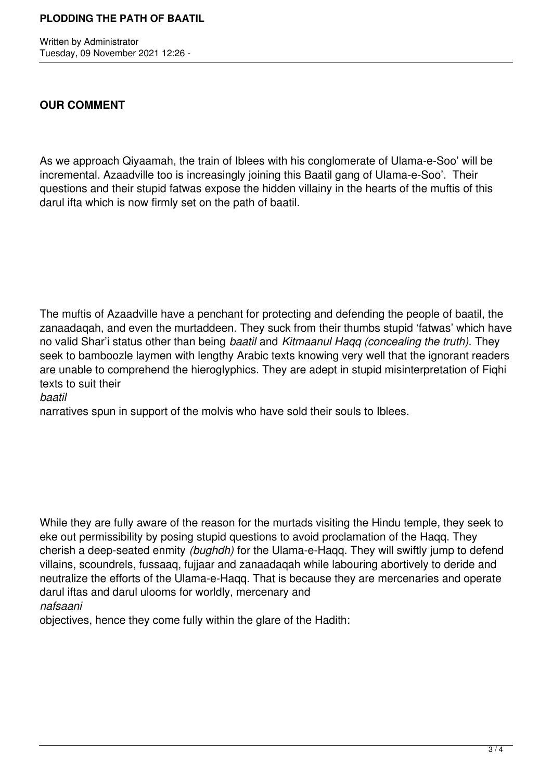Written by Administrator Tuesday, 09 November 2021 12:26 -

## **OUR COMMENT**

As we approach Qiyaamah, the train of Iblees with his conglomerate of Ulama-e-Soo' will be incremental. Azaadville too is increasingly joining this Baatil gang of Ulama-e-Soo'. Their questions and their stupid fatwas expose the hidden villainy in the hearts of the muftis of this darul ifta which is now firmly set on the path of baatil.

The muftis of Azaadville have a penchant for protecting and defending the people of baatil, the zanaadaqah, and even the murtaddeen. They suck from their thumbs stupid 'fatwas' which have no valid Shar'i status other than being *baatil* and *Kitmaanul Haqq (concealing the truth).* They seek to bamboozle laymen with lengthy Arabic texts knowing very well that the ignorant readers are unable to comprehend the hieroglyphics. They are adept in stupid misinterpretation of Fiqhi texts to suit their

*baatil*

narratives spun in support of the molvis who have sold their souls to Iblees.

While they are fully aware of the reason for the murtads visiting the Hindu temple, they seek to eke out permissibility by posing stupid questions to avoid proclamation of the Haqq. They cherish a deep-seated enmity *(bughdh)* for the Ulama-e-Haqq. They will swiftly jump to defend villains, scoundrels, fussaaq, fujjaar and zanaadaqah while labouring abortively to deride and neutralize the efforts of the Ulama-e-Haqq. That is because they are mercenaries and operate darul iftas and darul ulooms for worldly, mercenary and

*nafsaani*

objectives, hence they come fully within the glare of the Hadith: